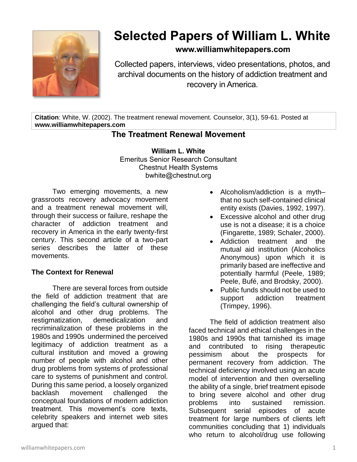

# **Selected Papers of William L. White**

## **www.williamwhitepapers.com**

Collected papers, interviews, video presentations, photos, and archival documents on the history of addiction treatment and recovery in America.

**Citation**: White, W. (2002). The treatment renewal movement. Counselor, 3(1), 59-61. Posted at **www.williamwhitepapers.com**

# **The Treatment Renewal Movement**

**William L. White** Emeritus Senior Research Consultant Chestnut Health Systems bwhite@chestnut.org

Two emerging movements, a new grassroots recovery advocacy movement and a treatment renewal movement will, through their success or failure, reshape the character of addiction treatment and recovery in America in the early twenty-first century. This second article of a two-part series describes the latter of these movements.

### **The Context for Renewal**

There are several forces from outside the field of addiction treatment that are challenging the field's cultural ownership of alcohol and other drug problems. The restigmatization, demedicalization and recriminalization of these problems in the 1980s and 1990s undermined the perceived legitimacy of addiction treatment as a cultural institution and moved a growing number of people with alcohol and other drug problems from systems of professional care to systems of punishment and control. During this same period, a loosely organized backlash movement challenged the conceptual foundations of modern addiction treatment. This movement's core texts, celebrity speakers and internet web sites argued that:

- Alcoholism/addiction is a myth– that no such self-contained clinical entity exists (Davies, 1992, 1997).
- Excessive alcohol and other drug use is not a disease; it is a choice (Fingarette, 1989; Schaler, 2000).
- Addiction treatment and the mutual aid institution (Alcoholics Anonymous) upon which it is primarily based are ineffective and potentially harmful (Peele, 1989; Peele, Bufé, and Brodsky, 2000).
- Public funds should not be used to support addiction treatment (Trimpey, 1996).

The field of addiction treatment also faced technical and ethical challenges in the 1980s and 1990s that tarnished its image and contributed to rising therapeutic pessimism about the prospects for permanent recovery from addiction. The technical deficiency involved using an acute model of intervention and then overselling the ability of a single, brief treatment episode to bring severe alcohol and other drug problems into sustained remission. Subsequent serial episodes of acute treatment for large numbers of clients left communities concluding that 1) individuals who return to alcohol/drug use following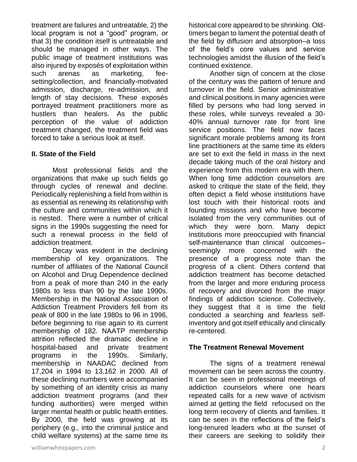treatment are failures and untreatable, 2) the local program is not a "good" program, or that 3) the condition itself is untreatable and should be managed in other ways. The public image of treatment institutions was also injured by exposés of exploitation within such arenas as marketing, feesetting/collection, and financially-motivated admission, discharge, re-admission, and length of stay decisions. These exposés portrayed treatment practitioners more as hustlers than healers. As the public perception of the value of addiction treatment changed, the treatment field was forced to take a serious look at itself.

#### **II. State of the Field**

Most professional fields and the organizations that make up such fields go through cycles of renewal and decline. Periodically replenishing a field from within is as essential as renewing its relationship with the culture and communities within which it is nested. There were a number of critical signs in the 1990s suggesting the need for such a renewal process in the field of addiction treatment.

Decay was evident in the declining membership of key organizations. The number of affiliates of the National Council on Alcohol and Drug Dependence declined from a peak of more than 240 in the early 1980s to less than 90 by the late 1990s. Membership in the National Association of Addiction Treatment Providers fell from its peak of 800 in the late 1980s to 96 in 1996, before beginning to rise again to its current membership of 182. NAATP membership attrition reflected the dramatic decline in hospital-based and private treatment programs in the 1990s. Similarly, membership in NAADAC declined from 17,204 in 1994 to 13,162 in 2000. All of these declining numbers were accompanied by something of an identity crisis as many addiction treatment programs (and their funding authorities) were merged within larger mental health or public health entities. By 2000, the field was growing at its periphery (e.g., into the criminal justice and child welfare systems) at the same time its

historical core appeared to be shrinking. Oldtimers began to lament the potential death of the field by diffusion and absorption–a loss of the field's core values and service technologies amidst the illusion of the field's continued existence.

Another sign of concern at the close of the century was the pattern of tenure and turnover in the field. Senior administrative and clinical positions in many agencies were filled by persons who had long served in these roles, while surveys revealed a 30- 40% annual turnover rate for front line service positions. The field now faces significant morale problems among its front line practitioners at the same time its elders are set to exit the field in mass in the next decade taking much of the oral history and experience from this modern era with them. When long time addiction counselors are asked to critique the state of the field, they often depict a field whose institutions have lost touch with their historical roots and founding missions and who have become isolated from the very communities out of which they were born. Many depict institutions more preoccupied with financial self-maintenance than clinical outcomes– seemingly more concerned with the presence of a progress note than the progress of a client. Others contend that addiction treatment has become detached from the larger and more enduring process of recovery and divorced from the major findings of addiction science. Collectively, they suggest that it is time the field conducted a searching and fearless selfinventory and got itself ethically and clinically re-centered.

#### **The Treatment Renewal Movement**

The signs of a treatment renewal movement can be seen across the country. It can be seen in professional meetings of addiction counselors where one hears repeated calls for a new wave of activism aimed at getting the field refocused on the long term recovery of clients and families. It can be seen in the reflections of the field's long-tenured leaders who at the sunset of their careers are seeking to solidify their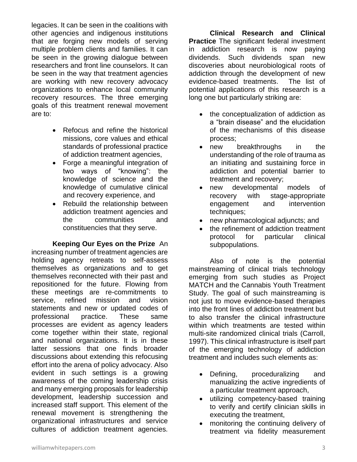legacies. It can be seen in the coalitions with other agencies and indigenous institutions that are forging new models of serving multiple problem clients and families. It can be seen in the growing dialogue between researchers and front line counselors. It can be seen in the way that treatment agencies are working with new recovery advocacy organizations to enhance local community recovery resources. The three emerging goals of this treatment renewal movement are to:

- Refocus and refine the historical missions, core values and ethical standards of professional practice of addiction treatment agencies,
- Forge a meaningful integration of two ways of "knowing": the knowledge of science and the knowledge of cumulative clinical and recovery experience, and
- Rebuild the relationship between addiction treatment agencies and the communities and constituencies that they serve.

**Keeping Our Eyes on the Prize** An increasing number of treatment agencies are holding agency retreats to self-assess themselves as organizations and to get themselves reconnected with their past and repositioned for the future. Flowing from these meetings are re-commitments to service, refined mission and vision statements and new or updated codes of professional practice. These same processes are evident as agency leaders come together within their state, regional and national organizations. It is in these latter sessions that one finds broader discussions about extending this refocusing effort into the arena of policy advocacy. Also evident in such settings is a growing awareness of the coming leadership crisis and many emerging proposals for leadership development, leadership succession and increased staff support. This element of the renewal movement is strengthening the organizational infrastructures and service cultures of addiction treatment agencies.

**Clinical Research and Clinical Practice** The significant federal investment in addiction research is now paying dividends. Such dividends span new discoveries about neurobiological roots of addiction through the development of new evidence-based treatments. The list of potential applications of this research is a long one but particularly striking are:

- the conceptualization of addiction as a "brain disease" and the elucidation of the mechanisms of this disease process;
- new breakthroughs in the understanding of the role of trauma as an initiating and sustaining force in addiction and potential barrier to treatment and recovery;
- new developmental models of recovery with stage-appropriate engagement and intervention techniques;
- new pharmacological adjuncts; and
- the refinement of addiction treatment protocol for particular clinical subpopulations.

Also of note is the potential mainstreaming of clinical trials technology emerging from such studies as Project MATCH and the Cannabis Youth Treatment Study. The goal of such mainstreaming is not just to move evidence-based therapies into the front lines of addiction treatment but to also transfer the clinical infrastructure within which treatments are tested within multi-site randomized clinical trials (Carroll, 1997). This clinical infrastructure is itself part of the emerging technology of addiction treatment and includes such elements as:

- Defining, proceduralizing and manualizing the active ingredients of a particular treatment approach,
- utilizing competency-based training to verify and certify clinician skills in executing the treatment,
- monitoring the continuing delivery of treatment via fidelity measurement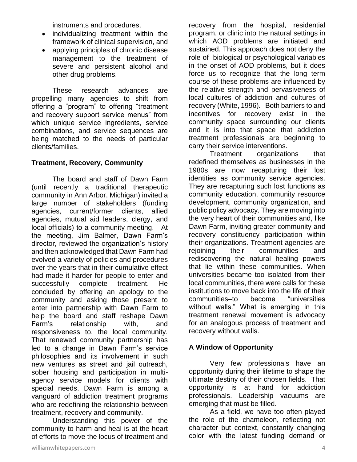instruments and procedures,

- individualizing treatment within the framework of clinical supervision, and
- applying principles of chronic disease management to the treatment of severe and persistent alcohol and other drug problems.

These research advances are propelling many agencies to shift from offering a "program" to offering "treatment and recovery support service menus" from which unique service ingredients, service combinations, and service sequences are being matched to the needs of particular clients/families.

#### **Treatment, Recovery, Community**

The board and staff of Dawn Farm (until recently a traditional therapeutic community in Ann Arbor, Michigan) invited a large number of stakeholders (funding agencies, current/former clients, allied agencies, mutual aid leaders, clergy, and local officials) to a community meeting. At the meeting, Jim Balmer, Dawn Farm's director, reviewed the organization's history and then acknowledged that Dawn Farm had evolved a variety of policies and procedures over the years that in their cumulative effect had made it harder for people to enter and successfully complete treatment. He concluded by offering an apology to the community and asking those present to enter into partnership with Dawn Farm to help the board and staff reshape Dawn Farm's relationship with, and responsiveness to, the local community. That renewed community partnership has led to a change in Dawn Farm's service philosophies and its involvement in such new ventures as street and jail outreach, sober housing and participation in multiagency service models for clients with special needs. Dawn Farm is among a vanguard of addiction treatment programs who are redefining the relationship between treatment, recovery and community.

Understanding this power of the community to harm and heal is at the heart of efforts to move the locus of treatment and recovery from the hospital, residential program, or clinic into the natural settings in which AOD problems are initiated and sustained. This approach does not deny the role of biological or psychological variables in the onset of AOD problems, but it does force us to recognize that the long term course of these problems are influenced by the relative strength and pervasiveness of local cultures of addiction and cultures of recovery (White, 1996). Both barriers to and incentives for recovery exist in the community space surrounding our clients and it is into that space that addiction treatment professionals are beginning to carry their service interventions.

Treatment organizations that redefined themselves as businesses in the 1980s are now recapturing their lost identities as community service agencies. They are recapturing such lost functions as community education, community resource development, community organization, and public policy advocacy. They are moving into the very heart of their communities and, like Dawn Farm, inviting greater community and recovery constituency participation within their organizations. Treatment agencies are rejoining their communities and rediscovering the natural healing powers that lie within these communities. When universities became too isolated from their local communities, there were calls for these institutions to move back into the life of their communities–to become "universities without walls." What is emerging in this treatment renewal movement is advocacy for an analogous process of treatment and recovery without walls.

#### **A Window of Opportunity**

Very few professionals have an opportunity during their lifetime to shape the ultimate destiny of their chosen fields. That opportunity is at hand for addiction professionals. Leadership vacuums are emerging that must be filled.

As a field, we have too often played the role of the chameleon, reflecting not character but context, constantly changing color with the latest funding demand or